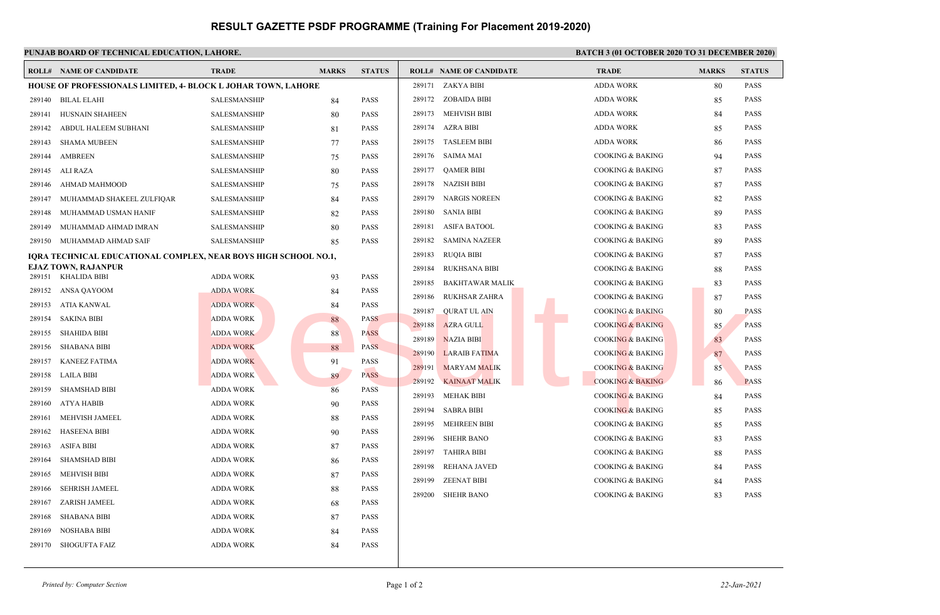## **RESULT GAZETTE PSDF PROGRAMME (Training For Placement 2019-2020)**

|                                                                 | PUNJAB BOARD OF TECHNICAL EDUCATION, LAHORE.                  |                     |              | <b>BATCH 3 (01 OCTOBER 2020 TO 31 DECEMBER 2020)</b> |                                  |                             |              |               |
|-----------------------------------------------------------------|---------------------------------------------------------------|---------------------|--------------|------------------------------------------------------|----------------------------------|-----------------------------|--------------|---------------|
|                                                                 | <b>ROLL# NAME OF CANDIDATE</b>                                | <b>TRADE</b>        | <b>MARKS</b> | <b>STATUS</b>                                        | <b>ROLL# NAME OF CANDIDATE</b>   | <b>TRADE</b>                | <b>MARKS</b> | <b>STATUS</b> |
|                                                                 | HOUSE OF PROFESSIONALS LIMITED, 4- BLOCK L JOHAR TOWN, LAHORE |                     |              | 289171 ZAKYA BIBI                                    | <b>ADDA WORK</b>                 | 80                          | <b>PASS</b>  |               |
|                                                                 | 289140 BILAL ELAHI                                            | <b>SALESMANSHIP</b> | 84           | <b>PASS</b>                                          | 289172 ZOBAIDA BIBI              | <b>ADDA WORK</b>            | 85           | <b>PASS</b>   |
| 289141                                                          | <b>HUSNAIN SHAHEEN</b>                                        | SALESMANSHIP        | 80           | <b>PASS</b>                                          | 289173 MEHVISH BIBI              | <b>ADDA WORK</b>            | 84           | <b>PASS</b>   |
| 289142                                                          | ABDUL HALEEM SUBHANI                                          | SALESMANSHIP        | 81           | <b>PASS</b>                                          | 289174<br>AZRA BIBI              | <b>ADDA WORK</b>            | 85           | PASS          |
| 289143                                                          | SHAMA MUBEEN                                                  | SALESMANSHIP        | 77           | <b>PASS</b>                                          | 289175 TASLEEM BIBI              | <b>ADDA WORK</b>            | 86           | PASS          |
| 289144                                                          | AMBREEN                                                       | SALESMANSHIP        | 75           | <b>PASS</b>                                          | 289176 SAIMA MAI                 | <b>COOKING &amp; BAKING</b> | 94           | PASS          |
| 289145                                                          | ALI RAZA                                                      | SALESMANSHIP        | 80           | <b>PASS</b>                                          | QAMER BIBI<br>289177             | <b>COOKING &amp; BAKING</b> | 87           | PASS          |
| 289146                                                          | AHMAD MAHMOOD                                                 | SALESMANSHIP        | 75           | <b>PASS</b>                                          | 289178 NAZISH BIBI               | <b>COOKING &amp; BAKING</b> | 87           | <b>PASS</b>   |
| 289147                                                          | MUHAMMAD SHAKEEL ZULFIQAR                                     | SALESMANSHIP        | 84           | <b>PASS</b>                                          | NARGIS NOREEN<br>289179          | <b>COOKING &amp; BAKING</b> | 82           | PASS          |
| 289148                                                          | MUHAMMAD USMAN HANIF                                          | SALESMANSHIP        | 82           | <b>PASS</b>                                          | 289180<br>SANIA BIBI             | <b>COOKING &amp; BAKING</b> | 89           | PASS          |
| 289149                                                          | MUHAMMAD AHMAD IMRAN                                          | SALESMANSHIP        | 80           | <b>PASS</b>                                          | 289181<br>ASIFA BATOOL           | <b>COOKING &amp; BAKING</b> | 83           | PASS          |
|                                                                 | 289150 MUHAMMAD AHMAD SAIF                                    | SALESMANSHIP        | 85           | <b>PASS</b>                                          | 289182<br><b>SAMINA NAZEER</b>   | <b>COOKING &amp; BAKING</b> | 89           | PASS          |
| IQRA TECHNICAL EDUCATIONAL COMPLEX, NEAR BOYS HIGH SCHOOL NO.1, |                                                               |                     |              |                                                      | <b>RUQIA BIBI</b><br>289183      | <b>COOKING &amp; BAKING</b> | 87           | PASS          |
|                                                                 | <b>EJAZ TOWN, RAJANPUR</b><br>289151 KHALIDA BIBI             | <b>ADDA WORK</b>    | 93           | <b>PASS</b>                                          | 289184<br><b>RUKHSANA BIBI</b>   | <b>COOKING &amp; BAKING</b> | 88           | PASS          |
|                                                                 | 289152 ANSA QAYOOM                                            | <b>ADDA WORK</b>    |              | <b>PASS</b>                                          | 289185<br><b>BAKHTAWAR MALIK</b> | <b>COOKING &amp; BAKING</b> | 83           | <b>PASS</b>   |
| 289153                                                          | ATIA KANWAL                                                   | <b>ADDA WORK</b>    | 84<br>84     | <b>PASS</b>                                          | RUKHSAR ZAHRA<br>289186          | <b>COOKING &amp; BAKING</b> | 87           | PASS          |
|                                                                 | 289154 SAKINA BIBI                                            | <b>ADDA WORK</b>    | 88           | <b>PASS</b>                                          | <b>QURAT UL AIN</b><br>289187    | <b>COOKING &amp; BAKING</b> | 80           | <b>PASS</b>   |
| 289155                                                          | SHAHIDA BIBI                                                  | <b>ADDA WORK</b>    | 88           | <b>PASS</b>                                          | 289188<br><b>AZRA GULL</b>       | <b>COOKING &amp; BAKING</b> | 85           | <b>PASS</b>   |
| 289156                                                          | <b>SHABANA BIBI</b>                                           | <b>ADDA WORK</b>    | 88           | <b>PASS</b>                                          | 289189<br><b>NAZIA BIBI</b>      | <b>COOKING &amp; BAKING</b> | 83           | <b>PASS</b>   |
| 289157                                                          | <b>KANEEZ FATIMA</b>                                          | <b>ADDA WORK</b>    | 91           | <b>PASS</b>                                          | 289190<br><b>LARAIB FATIMA</b>   | <b>COOKING &amp; BAKING</b> | 87           | <b>PASS</b>   |
| 289158                                                          | LAILA BIBI                                                    | <b>ADDA WORK</b>    | 89           | <b>PASS</b>                                          | 289191<br><b>MARYAM MALIK</b>    | <b>COOKING &amp; BAKING</b> | 85           | <b>PASS</b>   |
| 289159                                                          | <b>SHAMSHAD BIBI</b>                                          | <b>ADDA WORK</b>    | 86           | <b>PASS</b>                                          | 289192<br><b>KAINAAT MALIK</b>   | <b>COOKING &amp; BAKING</b> | 86           | <b>PASS</b>   |
| 289160                                                          | ATYA HABIB                                                    | <b>ADDA WORK</b>    | 90           | <b>PASS</b>                                          | 289193<br><b>MEHAK BIBI</b>      | <b>COOKING &amp; BAKING</b> | 84           | PASS          |
| 289161                                                          | MEHVISH JAMEEL                                                | <b>ADDA WORK</b>    | 88           | <b>PASS</b>                                          | 289194<br>SABRA BIBI             | <b>COOKING &amp; BAKING</b> | 85           | <b>PASS</b>   |
| 289162                                                          | <b>HASEENA BIBI</b>                                           | <b>ADDA WORK</b>    | 90           | <b>PASS</b>                                          | MEHREEN BIBI<br>289195           | <b>COOKING &amp; BAKING</b> | 85           | <b>PASS</b>   |
| 289163                                                          | <b>ASIFA BIBI</b>                                             | <b>ADDA WORK</b>    | 87           | <b>PASS</b>                                          | <b>SHEHR BANO</b><br>289196      | <b>COOKING &amp; BAKING</b> | 83           | PASS          |
| 289164                                                          | <b>SHAMSHAD BIBI</b>                                          | <b>ADDA WORK</b>    |              | PASS                                                 | 289197<br>TAHIRA BIBI            | <b>COOKING &amp; BAKING</b> | 88           | PASS          |
| 289165                                                          | MEHVISH BIBI                                                  | <b>ADDA WORK</b>    | 86<br>87     | <b>PASS</b>                                          | 289198<br>REHANA JAVED           | <b>COOKING &amp; BAKING</b> | 84           | PASS          |
| 289166                                                          | <b>SEHRISH JAMEEL</b>                                         | <b>ADDA WORK</b>    | 88           | <b>PASS</b>                                          | 289199<br>ZEENAT BIBI            | <b>COOKING &amp; BAKING</b> | 84           | PASS          |
| 289167                                                          | ZARISH JAMEEL                                                 | <b>ADDA WORK</b>    |              | <b>PASS</b>                                          | 289200 SHEHR BANO                | <b>COOKING &amp; BAKING</b> | 83           | PASS          |
| 289168                                                          | <b>SHABANA BIBI</b>                                           | <b>ADDA WORK</b>    | 68<br>87     | <b>PASS</b>                                          |                                  |                             |              |               |
| 289169                                                          | <b>NOSHABA BIBI</b>                                           | <b>ADDA WORK</b>    | 84           | PASS                                                 |                                  |                             |              |               |
| 289170                                                          | <b>SHOGUFTA FAIZ</b>                                          | <b>ADDA WORK</b>    | 84           | <b>PASS</b>                                          |                                  |                             |              |               |
|                                                                 |                                                               |                     |              |                                                      |                                  |                             |              |               |